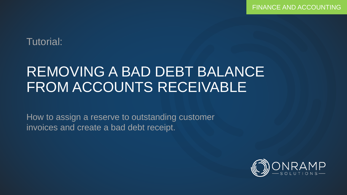## Tutorial:

# REMOVING A BAD DEBT BALANCE FROM ACCOUNTS RECEIVABLE

How to assign a reserve to outstanding customer invoices and create a bad debt receipt.

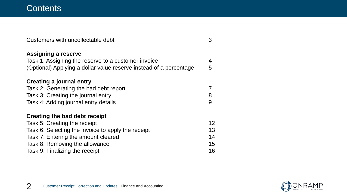| Customers with uncollectable debt                                  | 3  |
|--------------------------------------------------------------------|----|
| Assigning a reserve                                                |    |
| Task 1: Assigning the reserve to a customer invoice                | 4  |
| (Optional) Applying a dollar value reserve instead of a percentage | 5  |
| <b>Creating a journal entry</b>                                    |    |
| Task 2: Generating the bad debt report                             |    |
| Task 3: Creating the journal entry                                 | 8  |
| Task 4: Adding journal entry details                               | 9  |
| Creating the bad debt receipt                                      |    |
| Task 5: Creating the receipt                                       | 12 |
| Task 6: Selecting the invoice to apply the receipt                 | 13 |
| Task 7: Entering the amount cleared                                | 14 |
| Task 8: Removing the allowance                                     | 15 |
| Task 9: Finalizing the receipt                                     | 16 |

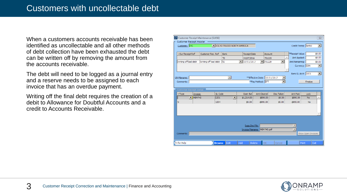When a customers accounts receivable has been identified as uncollectable and all other methods of debt collection have been exhausted the debt can be written off by removing the amount from the accounts receivable.

The debt will need to be logged as a journal entry and a reserve needs to be assigned to each invoice that has an overdue payment.

Writing off the final debt requires the creation of a debit to Allowance for Doubtful Accounts and a credit to Accounts Receivable.

|     |                         |                       | Customer Receipt Maintenance [S1056] |               |                            |     |                     |                              |                      |                          |  |                    |                     | $\Sigma$                 |
|-----|-------------------------|-----------------------|--------------------------------------|---------------|----------------------------|-----|---------------------|------------------------------|----------------------|--------------------------|--|--------------------|---------------------|--------------------------|
|     | Customer Receipt Header |                       |                                      |               |                            |     |                     |                              |                      |                          |  |                    |                     |                          |
|     | Customer: VVC           |                       |                                      |               | VOLVO TRUCKS NORTH AMERICA |     |                     |                              |                      |                          |  |                    | Credit Terms: Net60 | $\overline{\phantom{a}}$ |
|     |                         |                       |                                      |               |                            |     |                     |                              |                      |                          |  |                    |                     |                          |
|     | Our Receipt Ref         |                       | Customer Rec. Ref                    |               | <b>Bank</b>                |     | <b>Receipt Date</b> |                              | Account              |                          |  | **Receipt Value:   |                     | \$0.00                   |
|     |                         |                       |                                      | <b>TD</b>     |                            |     | 04/07/2016          |                              | 731229               |                          |  | Amt Applied:       |                     | \$0.00                   |
|     | Writing off bad debt    |                       | Writing off bad debt                 | <b>TD</b>     |                            | ▾   | 03/01/2017          |                              | $\frac{1}{2}$ 731229 | $\blacktriangledown$     |  | Amt Remaining:     |                     | \$0.00                   |
|     |                         |                       |                                      |               |                            |     |                     |                              |                      |                          |  | Currency: CDN      |                     | $\blacktriangledown$     |
|     |                         |                       |                                      |               |                            |     |                     |                              |                      |                          |  |                    |                     |                          |
|     |                         |                       |                                      |               |                            |     |                     |                              |                      |                          |  | Bank GL Acct: 1001 |                     | $\blacktriangledown$     |
|     | CR Filename:            |                       |                                      |               | $\overline{\phantom{a}}$   |     |                     | **Effective Date: 03/01/2017 |                      | $\overline{\phantom{a}}$ |  |                    |                     |                          |
|     | Comments:               |                       |                                      |               |                            |     |                     | **Pay Method: EFT            |                      | ٠                        |  |                    | Finalize            |                          |
|     |                         |                       |                                      |               |                            |     |                     |                              |                      |                          |  |                    |                     |                          |
|     | Customer Receipt Detail |                       |                                      |               |                            |     |                     |                              |                      |                          |  |                    |                     |                          |
|     | $-$ Type                | Invoice               |                                      | GL Code       |                            |     | Open Bal            | Amt Cleared                  |                      | Disc Taken               |  | Amt Paid           | Lock                |                          |
| II. |                         | $\blacksquare$ MEM740 |                                      | 1201          | ▼                          |     | \$1,214.00          |                              | \$890.00             | \$0.00                   |  | \$890.00           | <b>No</b>           |                          |
| N   |                         |                       |                                      | 1204          |                            |     | \$0.00              | $-$ \$890.00                 |                      | \$0.00                   |  | $-5890.00$         | <b>No</b>           |                          |
|     |                         |                       |                                      |               |                            |     |                     |                              |                      |                          |  |                    |                     |                          |
|     |                         |                       |                                      |               |                            |     |                     |                              |                      |                          |  |                    |                     |                          |
|     |                         |                       |                                      |               |                            |     |                     |                              |                      |                          |  |                    |                     |                          |
|     |                         |                       |                                      |               |                            |     |                     |                              |                      |                          |  |                    |                     |                          |
|     |                         |                       |                                      |               |                            |     |                     |                              |                      |                          |  |                    |                     |                          |
|     |                         |                       |                                      |               |                            |     | Supp.Doc File:      |                              |                      |                          |  |                    |                     |                          |
|     |                         |                       |                                      |               |                            |     |                     | Invoice Filename: MEM740.pdf |                      |                          |  |                    |                     |                          |
|     | Comments:               |                       |                                      |               |                            |     |                     |                              |                      |                          |  |                    | Show Open Invoices  |                          |
|     |                         |                       |                                      |               |                            |     |                     |                              |                      |                          |  |                    |                     |                          |
|     | F1 for Help             |                       |                                      | <b>Browse</b> | Edit                       | Add |                     | <b>Delete</b>                | OK                   | Cancel                   |  | Print              |                     | Exit                     |

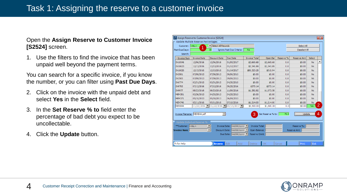#### Open the **Assign Reserve to Customer Invoice [S2524]** screen.

1. Use the filters to find the invoice that has been unpaid well beyond the payment terms.

You can search for a specific invoice, if you know the number, or you can filter using **Past Due Days**.

- 2. Click on the invoice with the unpaid debt and select **Yes** in the **Select** field.
- 3. In the **Set Reserve % to** field enter the percentage of bad debt you expect to be uncollectable.
- 4. Click the **Update** button.

| Assign Reserve to Customer Invoice [S2524]<br>$\overline{\mathbf{x}}$<br>Update Multiple Reserve Percentages |                                            |                                                                              |                                            |                                |                   |           |                    |           |                |  |  |  |  |
|--------------------------------------------------------------------------------------------------------------|--------------------------------------------|------------------------------------------------------------------------------|--------------------------------------------|--------------------------------|-------------------|-----------|--------------------|-----------|----------------|--|--|--|--|
| Customer: <all></all>                                                                                        |                                            | $\blacktriangleright$ Select All Records                                     |                                            |                                |                   |           | Select All         |           |                |  |  |  |  |
| Past Due Days:                                                                                               |                                            | 30                                                                           | Ignore Past Due Criteria:                  | No                             |                   |           | Deselect All       |           |                |  |  |  |  |
| Search:                                                                                                      |                                            |                                                                              |                                            |                                |                   |           |                    |           |                |  |  |  |  |
| - Invoice Num                                                                                                | <b>Invoice Date</b>                        | <b>Discount Date</b>                                                         | Due Date                                   | <b>Invoice Total</b>           | Open Bal          | Reserve % | <b>Reserve Amt</b> | Select    |                |  |  |  |  |
| IN10546                                                                                                      | 12/06/2016                                 | 12/06/2016                                                                   | 01/05/2017                                 | \$2,665.68                     | \$2,665.68        | 0.0       | \$0.00             | <b>No</b> | ٠              |  |  |  |  |
| IN10623                                                                                                      | 12/13/2016                                 | 12/13/2016                                                                   | 01/12/2017                                 | \$2,341.89                     | \$2,341.89        | 0.0       | \$0.00             | <b>No</b> |                |  |  |  |  |
| IN10626                                                                                                      | 12/15/2016                                 | 12/15/2016                                                                   | 01/14/2017                                 | \$86,323,28                    | \$310.94          | 0.0       | \$0.00             | <b>No</b> |                |  |  |  |  |
| <b>IN2581</b>                                                                                                | 07/08/2013                                 | 07/08/2013                                                                   | 09/06/2013                                 | \$0.00                         | \$0.00            | 0.0       | \$0.00             | <b>No</b> |                |  |  |  |  |
| <b>IN2583</b>                                                                                                | 07/08/2013                                 | 07/08/2013                                                                   | 09/06/2013                                 | \$0.00                         | \$0.00            | 0.0       | \$0.00             | <b>No</b> |                |  |  |  |  |
| <b>IN6774</b>                                                                                                | 03/31/2015                                 | 03/31/2015                                                                   | 04/30/2015                                 | \$0.00                         | \$0.00            | 0.0       | \$0.00             | <b>No</b> |                |  |  |  |  |
| IN9793                                                                                                       | 07/12/2016                                 | 07/12/2016                                                                   | 09/25/2016                                 | \$373.14                       | \$373.14          | 0.0       | \$0.00             | <b>No</b> |                |  |  |  |  |
| <b>IN9977</b>                                                                                                | 08/23/2016                                 | 08/23/2016                                                                   | 11/06/2016                                 | \$1,382.82                     | \$1,073.58        | 0.0       | \$0.00             | <b>No</b> |                |  |  |  |  |
| <b>MEM351</b>                                                                                                | 03/26/2013                                 | 04/25/2013                                                                   | 04/25/2013                                 | \$0.00                         | \$0.00            | 0.0       | \$0.00             | <b>No</b> |                |  |  |  |  |
| <b>MEM371</b>                                                                                                | 05/10/2013                                 | 05/10/2013                                                                   | 06/09/2013                                 | \$0.00                         | \$0.00            | 0.0       | \$0.00             | <b>No</b> |                |  |  |  |  |
| <b>MEM740</b>                                                                                                | 05/11/2016                                 | 05/11/2016                                                                   | 07/10/2016                                 | \$1,214.00                     | \$1,214.00        | 0.0       | \$0.00             | <b>No</b> |                |  |  |  |  |
| MEM844                                                                                                       |                                            | $11/22/2016$   $11/22/2016$                                                  | $01/21/2017$ $\blacksquare$                | \$1,500.00                     | \$1,500.00        | 0.0       | \$0.00             | Yes       | $\overline{2}$ |  |  |  |  |
| Invoice Filename: MEM844.pdf                                                                                 |                                            |                                                                              |                                            | 3                              | Set Reserve % to: | 75.0      | Update             |           | 4              |  |  |  |  |
| **Customer:                                                                                                  | Update Indivdual Reserve %<br>$ <$ ALL $>$ | <b>Invoice Date:</b><br>$\overline{\phantom{a}}$<br>$\overline{\phantom{a}}$ | $\sqrt{\frac{m}{d}}$                       | <b>Invoice Total:</b>          |                   |           | Reserve %:         |           |                |  |  |  |  |
| <b>Invoice Num:</b>                                                                                          |                                            | Discount Date:<br>Due Date:                                                  | $\sqrt{\frac{m}{d}}$ dd/yyyy<br>mm/dd/yyyy | Open Balance:<br>Reserve Cmnt: |                   |           | Reserve Amt:       |           |                |  |  |  |  |
| Fi for Help                                                                                                  |                                            | <b>Browse</b>                                                                | Edit<br>Add                                | Delete                         | ОK                | Cancel    | Print              | Exit      |                |  |  |  |  |

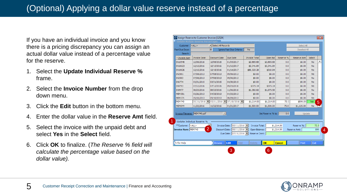If you have an individual invoice and you know there is a pricing discrepancy you can assign an actual dollar value instead of a percentage value for the reserve.

- 1. Select the **Update Individual Reserve %**  frame.
- 2. Select the **Invoice Number** from the drop down menu.
- 3. Click the **Edit** button in the bottom menu.
- 4. Enter the dollar value in the **Reserve Amt** field.
- 5. Select the invoice with the unpaid debt and select **Yes** in the **Select** field.
- 6. Click **OK** to finalize. (*The Reserve % field will calculate the percentage value based on the dollar value).*

| Customer: <all></all>        |                             | Select All Records               |                                                      |                                |                   |               | Select All         |                |
|------------------------------|-----------------------------|----------------------------------|------------------------------------------------------|--------------------------------|-------------------|---------------|--------------------|----------------|
| Past Due Days:               |                             | 30                               | Ignore Past Due Criteria:                            | No                             |                   |               | Deselect All       |                |
| Search:                      |                             |                                  |                                                      |                                |                   |               |                    |                |
| - Invoice Num                | <b>Invoice Date</b>         | Discount Date                    | Due Date                                             | <b>Invoice Total</b>           | Open Bal          | Reserve %     | <b>Reserve Amt</b> | Select         |
| <b>IN10546</b>               | 12/06/2016                  | 12/06/2016                       | 01/05/2017                                           | \$2,665.68                     | \$2,665.68        | 0.0           | \$0.00             | ▲<br><b>No</b> |
| IN10623                      | 12/13/2016                  | 12/13/2016                       | 01/12/2017                                           | \$2,341.89                     | \$2,341.89        | 0.0           | \$0.00             | <b>No</b>      |
| IN10626                      | 12/15/2016                  | 12/15/2016                       | 01/14/2017                                           | \$86,323.28                    | \$310.94          | 0.0           | \$0.00             | <b>No</b>      |
| <b>IN2581</b>                | 07/08/2013                  | 07/08/2013                       | 09/06/2013                                           | \$0.00                         | \$0.00            | 0.0           | \$0.00             | <b>No</b>      |
| <b>IN2583</b>                | 07/08/2013                  | 07/08/2013                       | 09/06/2013                                           | \$0.00                         | \$0.00            | 0.0           | \$0.00             | <b>No</b>      |
| <b>IN6774</b>                | 03/31/2015                  | 03/31/2015                       | 04/30/2015                                           | \$0.00                         | \$0.00            | 0.0           | \$0.00             | <b>No</b>      |
| <b>IN9793</b>                | 07/12/2016                  | 07/12/2016                       | 09/25/2016                                           | \$373.14                       | \$373.14          | 0.0           | \$0.00             | <b>No</b>      |
| <b>IN9977</b>                | 08/23/2016                  | 08/23/2016                       | 11/06/2016                                           | \$1,382.82                     | \$1,073.58        | 0.0           | \$0.00             | <b>No</b>      |
| <b>MEM351</b>                | 03/26/2013                  | 04/25/2013                       | 04/25/2013                                           | \$0.00                         | \$0.00            | 0.0           | \$0.00             | <b>No</b>      |
| <b>MEM371</b>                | 05/10/2013                  | 05/10/2013                       | 06/09/2013                                           | \$0.00                         | \$0.00            | 0.0           | \$0.00             | <b>No</b>      |
| MEM740                       | $05/11/2016$ $\blacksquare$ | 05/11/2016                       | 07/10/2016                                           | \$1,214.00                     | \$1,214.00        | 73.3          | \$890.00           | Yes<br>5       |
| <b>MEM844</b>                | 11/22/2016                  | 11/22/2016                       | 01/21/2017                                           | \$1,500.00                     | \$1,500.00        | 75.0          | \$1,125.00         | No.            |
| Invoice Filename: MEM740.pdf |                             | $\vert \nabla \vert$             |                                                      |                                | Set Reserve % to: | 0.0           | Update             |                |
|                              | Update Indivdual Reserve %  |                                  |                                                      |                                |                   |               |                    |                |
| **Customer: <all></all>      |                             | <b>Invoice Date:</b>             | $05/11/2016$ $\triangledown$                         | <b>Invoice Total:</b>          |                   | \$1,214.00    | Reserve %:         | 73.3           |
| Invoice Num: MEM740          |                             | $\overline{2}$<br>Discount Date: | $05/11/2016$ $\triangledown$<br>Due Date: 07/10/2016 | Open Balance:<br>Reserve Cmnt: |                   | \$1,214.00    | Reserve Amt:       | 890            |
| F1 for Help                  |                             | <b>Browse</b>                    | <b>Edit</b><br>Add                                   | Delete                         | OK                | <b>Cancel</b> | Print              | Exit           |

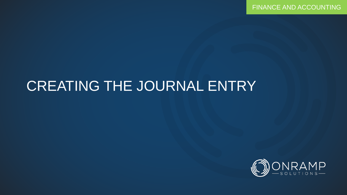FINANCE AND ACCOUNTING

## CREATING THE JOURNAL ENTRY

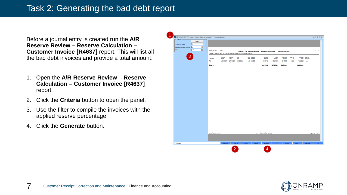1

Before a journal entry is created run the **A/R Reserve Review – Reserve Calculation – Customer Invoice [R4637]** report. This will list all the bad debt invoices and provide a total amount.

- 1. Open the **A/R Reserve Review – Reserve Calculation – Customer Invoice [R4637]**  report.
- 2. Click the **Criteria** button to open the panel.
- 3. Use the filter to compile the invoices with the applied reserve percentage.
- 4. Click the **Generate** button.

| REPORT: R4637 - A/R Reserve Review - Reserve Calculation - Customer Invocie - |                                                                                         |                 |                                  |             |         |                            |                                                                     |                |                     |                |            |                                | $\begin{array}{c c c c c c} \hline \multicolumn{3}{c }{\multicolumn{3}{c }{\infty}} & \multicolumn{3}{c }{\multicolumn{3}{c }{\infty}} & \multicolumn{3}{c }{\infty} & \multicolumn{3}{c }{\infty} & \multicolumn{3}{c }{\infty} & \multicolumn{3}{c }{\infty} & \multicolumn{3}{c }{\infty} & \multicolumn{3}{c }{\infty} & \multicolumn{3}{c }{\infty} & \multicolumn{3}{c }{\infty} & \multicolumn{3}{c }{\infty} & \multicolumn{3}{c }{\infty} &$ |
|-------------------------------------------------------------------------------|-----------------------------------------------------------------------------------------|-----------------|----------------------------------|-------------|---------|----------------------------|---------------------------------------------------------------------|----------------|---------------------|----------------|------------|--------------------------------|-------------------------------------------------------------------------------------------------------------------------------------------------------------------------------------------------------------------------------------------------------------------------------------------------------------------------------------------------------------------------------------------------------------------------------------------------------|
| $\Gamma$ Criteria<br>Reset                                                    |                                                                                         |                 |                                  |             |         |                            |                                                                     |                |                     |                |            |                                |                                                                                                                                                                                                                                                                                                                                                                                                                                                       |
| 30<br>1. Past Due Days:                                                       |                                                                                         |                 |                                  |             |         |                            |                                                                     |                |                     |                |            |                                |                                                                                                                                                                                                                                                                                                                                                                                                                                                       |
|                                                                               |                                                                                         |                 |                                  |             |         |                            |                                                                     |                |                     |                |            |                                |                                                                                                                                                                                                                                                                                                                                                                                                                                                       |
| 2. Ignore Past Due Criteria: NO<br>$\blacksquare$                             |                                                                                         |                 |                                  |             |         |                            |                                                                     |                |                     |                |            |                                |                                                                                                                                                                                                                                                                                                                                                                                                                                                       |
| $<$ ALL><br>$\vert \cdot \vert$<br>3. Customer:                               | Feb 28, 2017 Tue 3:33 PM                                                                |                 |                                  |             |         |                            | R4637 - A/R Reserve Review - Reserve Calculation - Customer Invocie |                |                     |                |            |                                | Page 1                                                                                                                                                                                                                                                                                                                                                                                                                                                |
|                                                                               | Criteria: 1. Past Due Days: 30 2. Ignore Past Due Criteria: NO 3. Customer: <all></all> |                 |                                  |             |         |                            |                                                                     |                |                     |                |            |                                |                                                                                                                                                                                                                                                                                                                                                                                                                                                       |
| 3                                                                             |                                                                                         |                 |                                  |             |         |                            |                                                                     |                |                     |                |            |                                |                                                                                                                                                                                                                                                                                                                                                                                                                                                       |
|                                                                               | Customer                                                                                | Invoice<br>Date | Discount<br>Date                 | Due<br>Date |         | Past Invoice<br>Due Number | Invoice<br>Amount                                                   | Open<br>Amount | Open Base<br>Amount | Reserve<br>-96 |            | Reserve Reserve<br>Amt Comment |                                                                                                                                                                                                                                                                                                                                                                                                                                                       |
|                                                                               | <b>VTC</b>                                                                              |                 | 11/22/2016 11/22/2016 01/21/2017 |             |         | 38 MEM844                  | \$1,500.00                                                          | \$1,500.00     | \$1,500.00          | 75.0           | \$1,125.00 |                                |                                                                                                                                                                                                                                                                                                                                                                                                                                                       |
|                                                                               | <b>WC</b>                                                                               |                 | 05/11/2016 05/11/2016 07/10/2016 |             |         | 233 MEM740                 | \$1,214.00                                                          | \$1,214.00     | \$1,214.00          | 73.3           |            | \$890.00 bad debt              |                                                                                                                                                                                                                                                                                                                                                                                                                                                       |
|                                                                               | $Total \gg$                                                                             |                 |                                  |             |         |                            | \$2,714.00                                                          | \$2,714.00     | \$2,714.00          |                | \$2,015.00 |                                |                                                                                                                                                                                                                                                                                                                                                                                                                                                       |
|                                                                               |                                                                                         |                 |                                  |             |         |                            |                                                                     |                |                     |                |            |                                |                                                                                                                                                                                                                                                                                                                                                                                                                                                       |
|                                                                               |                                                                                         |                 |                                  |             |         |                            |                                                                     |                |                     |                |            |                                |                                                                                                                                                                                                                                                                                                                                                                                                                                                       |
|                                                                               |                                                                                         |                 |                                  |             |         |                            |                                                                     |                |                     |                |            |                                |                                                                                                                                                                                                                                                                                                                                                                                                                                                       |
|                                                                               |                                                                                         |                 |                                  |             |         |                            |                                                                     |                |                     |                |            |                                |                                                                                                                                                                                                                                                                                                                                                                                                                                                       |
|                                                                               |                                                                                         |                 |                                  |             |         |                            |                                                                     |                |                     |                |            |                                |                                                                                                                                                                                                                                                                                                                                                                                                                                                       |
|                                                                               |                                                                                         |                 |                                  |             |         |                            |                                                                     |                |                     |                |            |                                |                                                                                                                                                                                                                                                                                                                                                                                                                                                       |
|                                                                               |                                                                                         |                 |                                  |             |         |                            |                                                                     |                |                     |                |            |                                |                                                                                                                                                                                                                                                                                                                                                                                                                                                       |
|                                                                               |                                                                                         |                 |                                  |             |         |                            |                                                                     |                |                     |                |            |                                |                                                                                                                                                                                                                                                                                                                                                                                                                                                       |
|                                                                               |                                                                                         |                 |                                  |             |         |                            |                                                                     |                |                     |                |            |                                |                                                                                                                                                                                                                                                                                                                                                                                                                                                       |
|                                                                               |                                                                                         |                 |                                  |             |         |                            |                                                                     |                |                     |                |            |                                |                                                                                                                                                                                                                                                                                                                                                                                                                                                       |
|                                                                               |                                                                                         |                 |                                  |             |         |                            |                                                                     |                |                     |                |            |                                |                                                                                                                                                                                                                                                                                                                                                                                                                                                       |
|                                                                               |                                                                                         |                 |                                  |             |         |                            |                                                                     |                |                     |                |            |                                |                                                                                                                                                                                                                                                                                                                                                                                                                                                       |
|                                                                               |                                                                                         |                 |                                  |             |         |                            |                                                                     |                |                     |                |            |                                |                                                                                                                                                                                                                                                                                                                                                                                                                                                       |
|                                                                               |                                                                                         |                 |                                  |             |         |                            |                                                                     |                |                     |                |            |                                |                                                                                                                                                                                                                                                                                                                                                                                                                                                       |
|                                                                               |                                                                                         |                 |                                  |             |         |                            |                                                                     |                |                     |                |            |                                |                                                                                                                                                                                                                                                                                                                                                                                                                                                       |
|                                                                               |                                                                                         |                 |                                  |             |         |                            |                                                                     |                |                     |                |            |                                |                                                                                                                                                                                                                                                                                                                                                                                                                                                       |
|                                                                               |                                                                                         |                 |                                  |             |         |                            |                                                                     |                |                     |                |            |                                |                                                                                                                                                                                                                                                                                                                                                                                                                                                       |
|                                                                               |                                                                                         |                 |                                  |             |         |                            |                                                                     |                |                     |                |            |                                |                                                                                                                                                                                                                                                                                                                                                                                                                                                       |
|                                                                               |                                                                                         |                 |                                  |             |         |                            |                                                                     |                |                     |                |            |                                |                                                                                                                                                                                                                                                                                                                                                                                                                                                       |
|                                                                               |                                                                                         |                 |                                  |             |         |                            |                                                                     |                |                     |                |            |                                |                                                                                                                                                                                                                                                                                                                                                                                                                                                       |
|                                                                               |                                                                                         |                 |                                  |             |         |                            |                                                                     |                |                     |                |            |                                |                                                                                                                                                                                                                                                                                                                                                                                                                                                       |
|                                                                               |                                                                                         |                 |                                  |             |         |                            |                                                                     |                |                     |                |            |                                |                                                                                                                                                                                                                                                                                                                                                                                                                                                       |
|                                                                               |                                                                                         |                 |                                  |             |         |                            |                                                                     |                |                     |                |            |                                |                                                                                                                                                                                                                                                                                                                                                                                                                                                       |
|                                                                               |                                                                                         |                 |                                  |             |         |                            |                                                                     |                |                     |                |            |                                |                                                                                                                                                                                                                                                                                                                                                                                                                                                       |
|                                                                               |                                                                                         |                 |                                  |             |         |                            |                                                                     |                |                     |                |            |                                |                                                                                                                                                                                                                                                                                                                                                                                                                                                       |
|                                                                               |                                                                                         |                 |                                  |             |         |                            |                                                                     |                |                     |                |            |                                |                                                                                                                                                                                                                                                                                                                                                                                                                                                       |
|                                                                               |                                                                                         |                 |                                  |             |         |                            |                                                                     |                |                     |                |            |                                |                                                                                                                                                                                                                                                                                                                                                                                                                                                       |
|                                                                               |                                                                                         |                 |                                  |             |         |                            |                                                                     |                |                     |                |            |                                |                                                                                                                                                                                                                                                                                                                                                                                                                                                       |
|                                                                               |                                                                                         |                 |                                  |             |         |                            |                                                                     |                |                     |                |            |                                |                                                                                                                                                                                                                                                                                                                                                                                                                                                       |
|                                                                               |                                                                                         |                 |                                  |             |         |                            |                                                                     |                |                     |                |            |                                |                                                                                                                                                                                                                                                                                                                                                                                                                                                       |
|                                                                               |                                                                                         |                 |                                  |             |         |                            |                                                                     |                |                     |                |            |                                |                                                                                                                                                                                                                                                                                                                                                                                                                                                       |
|                                                                               | <b>Control Document: NA</b>                                                             |                 |                                  |             |         |                            | RQA - Release Quality Assurance                                     |                |                     |                |            |                                | Report ID: R4637                                                                                                                                                                                                                                                                                                                                                                                                                                      |
|                                                                               |                                                                                         |                 |                                  |             |         |                            |                                                                     |                |                     |                |            |                                |                                                                                                                                                                                                                                                                                                                                                                                                                                                       |
|                                                                               |                                                                                         |                 |                                  |             |         |                            |                                                                     |                |                     |                |            |                                |                                                                                                                                                                                                                                                                                                                                                                                                                                                       |
|                                                                               |                                                                                         |                 |                                  |             |         |                            |                                                                     |                |                     |                |            |                                |                                                                                                                                                                                                                                                                                                                                                                                                                                                       |
|                                                                               |                                                                                         |                 |                                  |             |         |                            |                                                                     |                |                     |                |            |                                |                                                                                                                                                                                                                                                                                                                                                                                                                                                       |
|                                                                               |                                                                                         |                 |                                  |             |         |                            |                                                                     |                |                     |                |            |                                |                                                                                                                                                                                                                                                                                                                                                                                                                                                       |
|                                                                               |                                                                                         | Fullscreen      | Criteria                         |             | Filters | Reload                     | Generate                                                            | Save           | E-Mail              |                | Export     | Restore                        | Exit                                                                                                                                                                                                                                                                                                                                                                                                                                                  |
|                                                                               |                                                                                         |                 |                                  |             |         |                            |                                                                     |                |                     |                |            |                                |                                                                                                                                                                                                                                                                                                                                                                                                                                                       |
| F1 for Help                                                                   |                                                                                         |                 | $\overline{2}$                   |             |         |                            | 4                                                                   |                |                     |                |            |                                |                                                                                                                                                                                                                                                                                                                                                                                                                                                       |

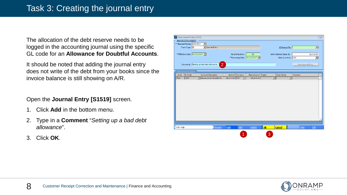The allocation of the debt reserve needs to be logged in the accounting journal using the specific GL code for an **Allowance for Doubtful Accounts**.

It should be noted that adding the journal entry does not write of the debt from your books since the invoice balance is still showing on A/R.

Open the **Journal Entry [S1519]** screen.

- 1. Click **Add** in the bottom menu.
- 2. Type in a **Comment** "*Setting up a bad debt allowance*".
- 3. Click **OK**.



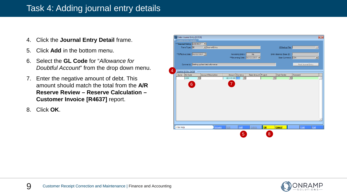## Task 4: Adding journal entry details

- 4. Click the **Journal Entry Detail** frame.
- 5. Click **Add** in the bottom menu.
- 6. Select the **GL Code** for "*Allowance for Doubtful Account*" from the drop down menu.
- 7. Enter the negative amount of debt. This amount should match the total from the **A/R Reserve Review – Reserve Calculation – Customer Invoice [R4637]** report.
- 8. Click **OK**.



![](_page_8_Picture_7.jpeg)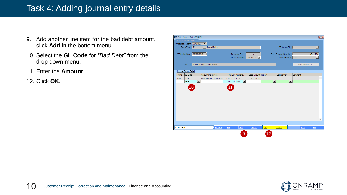## Task 4: Adding journal entry details

- 9. Add another line item for the bad debt amount, click **Add** in the bottom menu
- 10. Select the **GL Code** for *"Bad Debt"* from the drop down menu.
- 11. Enter the **Amount**.
- 12. Click **OK**.

|             | <b>S2</b> Enter Journal Entry [S1519] |                                         |                  |                     |                              |                        |                          |                     |                    | $\overline{\mathbf{x}}$  |
|-------------|---------------------------------------|-----------------------------------------|------------------|---------------------|------------------------------|------------------------|--------------------------|---------------------|--------------------|--------------------------|
|             | Journal Entry Header                  |                                         |                  |                     |                              |                        |                          |                     |                    |                          |
|             | **Journal Entry: A0004827             | ╶╶                                      |                  |                     |                              |                        |                          |                     |                    |                          |
|             | Trans Type: JE                        | $\blacktriangleright$ Journal Entry     |                  |                     |                              |                        | JE Backup File:          |                     |                    | $\vert \nabla$           |
|             |                                       |                                         |                  |                     |                              |                        |                          |                     |                    |                          |
|             | **Effective Date: 02/22/2017          |                                         |                  | Reversing Entry:    | No                           |                        | Entry Balance (Base \$): |                     |                    | $-$2,015.00$             |
|             |                                       |                                         |                  |                     | **Reversing Date: 02/23/2017 |                        | Base Currency: CDN       |                     |                    | $\overline{\phantom{a}}$ |
|             |                                       |                                         |                  |                     |                              |                        |                          |                     |                    |                          |
|             |                                       | Comments: Setting up bad debt allowance |                  |                     |                              |                        |                          |                     | Post Journal Entry |                          |
|             |                                       |                                         |                  |                     |                              |                        |                          |                     |                    |                          |
|             | Journal Entry Detail                  |                                         |                  |                     |                              |                        |                          |                     |                    |                          |
| $\div$ Auto | <b>GL Code</b>                        | <b>Account Description</b>              |                  | Amount Currency     | Base Amount Project          |                        | Cost Center              | Comment             |                    |                          |
| 7664        | 1204                                  | Allowance for Doubtful Acc              | $-52,015.00$ CDN |                     | $-52,015.00$                 |                        |                          |                     |                    |                          |
|             | $\vert \textbf{v} \vert$<br>7625      |                                         | \$2,015.00 CDN   | $\vert \cdot \vert$ |                              |                        | ⊡∥                       | $\vert \cdot \vert$ |                    |                          |
|             |                                       |                                         |                  |                     |                              |                        |                          |                     |                    |                          |
|             | 10                                    |                                         | $\overline{11}$  |                     |                              |                        |                          |                     |                    |                          |
|             |                                       |                                         |                  |                     |                              |                        |                          |                     |                    |                          |
|             |                                       |                                         |                  |                     |                              |                        |                          |                     |                    |                          |
|             |                                       |                                         |                  |                     |                              |                        |                          |                     |                    |                          |
|             |                                       |                                         |                  |                     |                              |                        |                          |                     |                    |                          |
|             |                                       |                                         |                  |                     |                              |                        |                          |                     |                    |                          |
|             |                                       |                                         |                  |                     |                              |                        |                          |                     |                    |                          |
|             |                                       |                                         |                  |                     |                              |                        |                          |                     |                    |                          |
|             |                                       |                                         |                  |                     |                              |                        |                          |                     |                    |                          |
|             |                                       |                                         |                  |                     |                              |                        |                          |                     |                    |                          |
|             |                                       |                                         |                  |                     |                              |                        |                          |                     |                    |                          |
|             |                                       |                                         |                  |                     |                              |                        |                          |                     |                    |                          |
| F1 for Help |                                       | <b>Browse</b>                           | Edit             | Add                 | Delete                       | $\overline{\text{OK}}$ | <b>Cancel</b>            |                     | Print              | Exit                     |
|             |                                       |                                         |                  |                     |                              |                        |                          |                     |                    |                          |
|             |                                       |                                         |                  | 9                   |                              | 12                     |                          |                     |                    |                          |
|             |                                       |                                         |                  |                     |                              |                        |                          |                     |                    |                          |

![](_page_9_Picture_6.jpeg)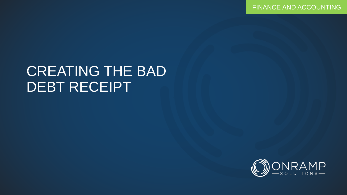FINANCE AND ACCOUNTING

## CREATING THE BAD DEBT RECEIPT

![](_page_10_Picture_2.jpeg)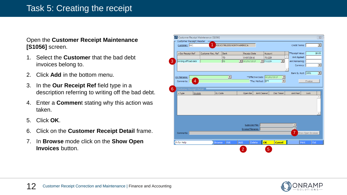### Task 5: Creating the receipt

#### Open the **Customer Receipt Maintenance [S1056]** screen.

- 1. Select the **Customer** that the bad debt invoices belong to.
- 2. Click **Add** in the bottom menu.
- 3. In the **Our Receipt Ref** field type in a description referring to writing off the bad debt.
- 4. Enter a **Commen**t stating why this action was taken.
- 5. Click **OK**.
- 6. Click on the **Customer Receipt Detail** frame.
- 7. In **Browse** mode click on the **Show Open Invoices** button.

|                              | Customer Receipt Header     | Customer Receipt Maintenance [S1056] |                                   |     |                               |                      |                      |                         |                    | $\overline{\mathbb{Z}}$  |
|------------------------------|-----------------------------|--------------------------------------|-----------------------------------|-----|-------------------------------|----------------------|----------------------|-------------------------|--------------------|--------------------------|
|                              | Customer: VVC               | 1                                    | <b>VOLVO TRUCKS NORTH AMERICA</b> |     |                               |                      |                      | Credit Terms:           |                    | $\overline{\phantom{0}}$ |
|                              | △ Our Receipt Ref           | Customer Rec. Ref                    | <b>Bank</b>                       |     | Receipt Date                  | Account              |                      | **Receipt Value:        |                    | \$0.00                   |
|                              |                             |                                      | <b>TD</b>                         |     | 04/07/2016                    | 731229               |                      | Amt Applied:<br>A       |                    |                          |
|                              | Writing off bad debt        |                                      | <b>TD</b>                         |     | $\boxed{2}$ 03/01/2017        | $\frac{1}{2}$ 731229 | $\blacktriangledown$ | Amt Remaining:          |                    |                          |
|                              |                             |                                      |                                   |     |                               |                      |                      | Currency:               |                    | $\overline{\phantom{0}}$ |
|                              |                             |                                      |                                   |     |                               |                      |                      | Bank GL Acct: 1001      |                    | $\overline{\phantom{1}}$ |
|                              | CR Filename:                |                                      | $\vert \textbf{v} \vert$          |     | **Effective Date: 03/01/2017  |                      |                      |                         |                    |                          |
|                              | $\overline{4}$<br>Comments: |                                      |                                   |     | <sup>esp</sup> ay Method: EFT |                      |                      |                         | Finalize           |                          |
|                              |                             |                                      |                                   |     |                               |                      |                      |                         |                    |                          |
|                              | Customer Receipt Detail     |                                      |                                   |     |                               |                      |                      |                         |                    |                          |
| $\overline{\mathsf{y}}$ Type | Invoice                     | <b>GL</b> Code                       |                                   |     | Open Bal                      | Amt Cleared          | Disc Taken           | Amt Paid                | Lock               |                          |
|                              |                             |                                      |                                   |     |                               |                      |                      |                         |                    |                          |
|                              |                             |                                      |                                   |     |                               |                      |                      |                         |                    |                          |
|                              |                             |                                      |                                   |     |                               |                      |                      |                         |                    |                          |
|                              |                             |                                      |                                   |     |                               |                      |                      |                         |                    |                          |
|                              |                             |                                      |                                   |     |                               |                      |                      |                         |                    |                          |
|                              |                             |                                      |                                   |     |                               |                      |                      |                         |                    |                          |
|                              |                             |                                      |                                   |     | Supp.Doc File:                |                      |                      |                         |                    |                          |
|                              |                             |                                      |                                   |     | Invoice Filename:             |                      |                      | $\overline{\mathbf{v}}$ |                    |                          |
|                              | Comments:                   |                                      |                                   |     |                               |                      |                      | 7                       | Show Open Invoices |                          |
|                              |                             |                                      |                                   |     |                               |                      |                      |                         |                    |                          |
|                              |                             |                                      |                                   |     |                               |                      |                      |                         |                    |                          |
| Fi for Help                  |                             | <b>Browse</b>                        | Edit                              | Add | Delete                        | OK                   | <b>Cancel</b>        |                         | Print              | Exit                     |

![](_page_11_Picture_10.jpeg)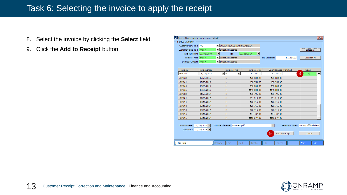## Task 6: Selecting the invoice to apply the receipt

- 8. Select the invoice by clicking the **Select** field.
- 9. Click the **Add to Receipt** button.

| Select Open Customer Invoices [S1570]               |                     |                      |                                          |                                        |                 |               |                                                        |            |              | $-x$ |
|-----------------------------------------------------|---------------------|----------------------|------------------------------------------|----------------------------------------|-----------------|---------------|--------------------------------------------------------|------------|--------------|------|
| Select Invoices                                     |                     |                      |                                          |                                        |                 |               |                                                        |            |              |      |
| Customer (Inv To): VVC                              |                     |                      | VIOLVO TRUCKS NORTH AMERICA              |                                        |                 |               |                                                        |            |              |      |
| Customer (Ship To): <all></all>                     |                     |                      | ▼ Select All Records                     |                                        |                 |               |                                                        | Select All |              |      |
| Invoices From: 01/01/2000                           |                     | $\blacktriangledown$ | To:                                      | 02/22/2017<br>$\overline{\phantom{a}}$ |                 |               |                                                        |            |              |      |
| Invoice Type: <all></all>                           |                     |                      | $\blacktriangleright$ Select All Records |                                        | Total Selected: |               | \$1,214.00                                             |            | Deselect All |      |
| Invoice Number: <all></all>                         |                     |                      | $\blacktriangleright$ Select All Records |                                        |                 |               |                                                        |            |              |      |
|                                                     |                     |                      |                                          |                                        |                 |               |                                                        |            |              |      |
| $\overline{\mathbf{v}}$ Invoice                     | <b>Invoice Date</b> |                      | <b>Invoice Type</b>                      | <b>Invoice Total</b>                   |                 |               | Open Balance   Matched                                 | Select     |              |      |
| MEM740                                              | 05/11/2016          | ▼IM                  | $\blacktriangledown$                     | \$1,214,00                             |                 | \$1,214.00    |                                                        | 8<br>×     |              | ▲    |
| <b>MEM860</b>                                       | 12/23/2016          |                      | M                                        | \$70,000.00                            |                 | \$70,000.00   |                                                        |            |              |      |
| <b>MEM861</b>                                       | 12/23/2016          |                      | M                                        | \$98,750.00                            |                 | \$98,750.00   |                                                        |            |              |      |
| <b>MEM865</b>                                       | 12/23/2016          |                      | M                                        | \$90,000.00                            |                 | \$90,000.00   |                                                        |            |              |      |
| <b>MEM866</b>                                       | 12/23/2016          |                      | M                                        | \$145,000.00                           |                 | \$145,000.00  |                                                        |            |              |      |
| <b>MEM880</b>                                       | 01/20/2017          |                      | M                                        | \$30,795.00                            |                 | \$30,795.00   |                                                        |            |              |      |
| <b>MEM881</b>                                       | 01/20/2017          |                      | M                                        | \$31,515.00                            |                 | \$31,515.00   |                                                        |            |              |      |
| <b>MEM891</b>                                       | 02/15/2017          |                      | M                                        | \$28,715.00                            |                 | \$28,715.00   |                                                        |            |              |      |
| <b>MEM892</b>                                       | 02/15/2017          |                      | M                                        | \$28,715.00                            |                 | \$28,715.00   |                                                        |            |              |      |
| <b>MEM893</b>                                       | 02/15/2017          |                      | M                                        | $-528,715.00$                          |                 | $-528,715.00$ |                                                        |            |              |      |
| <b>MEM895</b>                                       | 02/16/2017          |                      | M                                        | $-584,437.00$                          |                 | $-584,437,00$ |                                                        |            |              |      |
| <b>MEM896</b>                                       | 02/16/2017          |                      | M                                        | \$110,877.00                           |                 | \$110,877.00  |                                                        |            |              | ▼    |
| Discount Date: 05/11/2016<br>Due Date: 07/10/2016 ▼ |                     |                      | Invoice Filename: MEM740.pdf             |                                        | 9               |               | Receipt Number: Writing off bad debt<br>Add to Receipt |            | Cancel       |      |
| F <sub>1</sub> for Help                             |                     | <b>Browse</b>        | Edit                                     | Add<br>Delete                          | OK              | Cancel        |                                                        | Print      | Exit         |      |

![](_page_12_Picture_4.jpeg)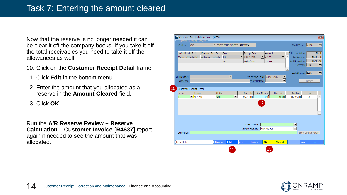Now that the reserve is no longer needed it can be clear it off the company books. If you take it off the total receivables you need to take it off the allowances as well.

- 10. Click on the **Customer Receipt Detail** frame.
- 11. Click **Edit** in the bottom menu.
- 12. Enter the amount that you allocated as a reserve in the **Amount Cleared** field.
- 13. Click **OK**.

Run the **A/R Reserve Review – Reserve Calculation – Customer Invoice [R4637]** report again if needed to see the amount that was allocated.

| Customer: VVC           |                             |                      |                | VOLVO TRUCKS NORTH AMERICA |     |                         |                               |                      |                          |          | Credit Terms: Net60 |                    | ⊡            |
|-------------------------|-----------------------------|----------------------|----------------|----------------------------|-----|-------------------------|-------------------------------|----------------------|--------------------------|----------|---------------------|--------------------|--------------|
|                         |                             |                      |                |                            |     |                         |                               |                      |                          |          |                     |                    |              |
| △Our Receipt Ref        |                             | Customer Rec. Ref    |                | Bank                       |     | Receipt Date            |                               | Account              |                          |          | *Receipt Value:     |                    | \$0.00       |
| Writing off bad debt    |                             | Writing off bad debt |                | <b>ITD</b>                 |     | $\mathbf{I}$ 03/01/2017 |                               | $\frac{1}{2}$ 731229 | −∥                       | $\Delta$ | Amt Applied:        |                    | \$1,214.00   |
|                         |                             |                      |                | <b>TD</b>                  |     | 04/07/2016              |                               | 731229               |                          |          | Amt Remaining:      |                    | $-$1,214.00$ |
|                         |                             |                      |                |                            |     |                         |                               |                      |                          |          | Currency: CDN       |                    | 회            |
|                         |                             |                      |                |                            |     |                         |                               |                      |                          |          |                     |                    |              |
|                         |                             |                      |                |                            |     |                         |                               |                      |                          |          | Bank GL Acct: 1001  |                    | 그            |
| CR Filename:            |                             |                      |                | $\vert \nabla \vert$       |     |                         | **Effective Date: 03/01/2017  |                      | $\overline{\phantom{a}}$ |          |                     |                    |              |
| Comments:               |                             |                      |                |                            |     |                         | <sup>**</sup> Pay Method: EFT |                      |                          |          |                     | Finalize           |              |
|                         |                             |                      |                |                            |     |                         |                               |                      |                          |          |                     |                    |              |
| Customer Receipt Detail |                             |                      |                |                            |     |                         |                               |                      |                          |          |                     |                    |              |
| $-$ Type                | Invoice                     |                      | <b>GL</b> Code |                            |     | Open Bal                | Amt Cleared                   |                      | Disc Taken               |          | Amt Paid            | Lock               |              |
|                         | $\blacktriangledown$ MEM740 |                      | 1201           | $\blacksquare$             |     | \$1,214.00              |                               | 89 <sub>0</sub>      | \$0.00                   |          | \$1,214.00          | No                 | A            |
|                         |                             |                      |                |                            |     |                         |                               |                      |                          |          |                     |                    |              |
|                         |                             |                      |                |                            |     |                         |                               |                      |                          |          |                     |                    |              |
|                         |                             |                      |                |                            |     |                         |                               |                      |                          |          |                     |                    |              |
|                         |                             |                      |                |                            |     |                         | $ 12\rangle$                  |                      |                          |          |                     |                    |              |
|                         |                             |                      |                |                            |     |                         |                               |                      |                          |          |                     |                    |              |
|                         |                             |                      |                |                            |     |                         |                               |                      |                          |          |                     |                    |              |
|                         |                             |                      |                |                            |     |                         |                               |                      |                          |          |                     |                    |              |
|                         |                             |                      |                |                            |     |                         |                               |                      |                          |          |                     |                    |              |
|                         |                             |                      |                |                            |     | Supp.Doc File:          |                               |                      |                          |          |                     |                    |              |
|                         |                             |                      |                |                            |     |                         | Invoice Filename: MEM740.pdf  |                      |                          |          |                     |                    |              |
|                         |                             |                      |                |                            |     |                         |                               |                      |                          |          |                     |                    |              |
| Comments:               |                             |                      |                |                            |     |                         |                               |                      |                          |          |                     | Show Open Invoices |              |
| Fi for Help             |                             |                      | <b>Browse</b>  | Edit                       | Add |                         | Delete                        | OK                   | <b>Cancel</b>            |          | Print               |                    | Exit         |

![](_page_13_Picture_8.jpeg)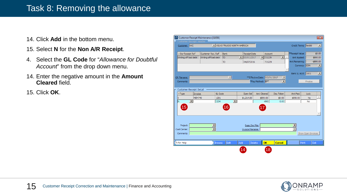### Task 8: Removing the allowance

- 14. Click **Add** in the bottom menu.
- 15. Select **N** for the **Non A/R Receipt**.
- 4. Select the **GL Code** for "*Allowance for Doubtful Account*" from the drop down menu.
- 14. Enter the negative amount in the **Amount Cleared** field.
- 15. Click **OK**.

|                                | Customer Receipt Header |                      |                |                            |     |                                   |                               |                      |                      |                     |                    |                |
|--------------------------------|-------------------------|----------------------|----------------|----------------------------|-----|-----------------------------------|-------------------------------|----------------------|----------------------|---------------------|--------------------|----------------|
| Customer: VVC                  |                         |                      |                | VOLVO TRUCKS NORTH AMERICA |     |                                   |                               |                      |                      | Credit Terms: Net60 |                    | $\blacksquare$ |
|                                |                         |                      |                |                            |     |                                   |                               |                      |                      |                     |                    |                |
| ▲Our Receipt Ref               |                         | Customer Rec. Ref    |                | <b>Bank</b>                |     | <b>Receipt Date</b>               |                               | Account              |                      | **Receipt Value:    |                    | \$0.00         |
| Writing off bad debt           |                         | Writing off bad debt |                | <b>ITD</b>                 |     | $\boxed{\blacksquare}$ 03/01/2017 |                               | $\frac{1}{2}$ 731229 | О                    | Amt Applied:        |                    | \$890.00       |
|                                |                         |                      |                | <b>TD</b>                  |     | 04/07/2016                        |                               | 731229               |                      | Amt Remaining:      |                    | $-$890.00$     |
|                                |                         |                      |                |                            |     |                                   |                               |                      |                      | Currency: CDN       |                    | 囯              |
|                                |                         |                      |                |                            |     |                                   |                               |                      |                      |                     |                    |                |
|                                |                         |                      |                |                            |     |                                   |                               |                      |                      | Bank GL Acct: 1001  |                    | ⊡              |
| CR Filename:                   |                         |                      |                | $\vert \nabla \vert$       |     |                                   | ** Effective Date: 03/01/2017 |                      | $\frac{1}{\sqrt{2}}$ |                     |                    |                |
| Comments:                      |                         |                      |                |                            |     |                                   | **Pay Method: EFT             |                      |                      |                     | Finalize           |                |
|                                |                         |                      |                |                            |     |                                   |                               |                      |                      |                     |                    |                |
| Customer Receipt Detail        |                         |                      |                |                            |     |                                   |                               |                      |                      |                     |                    |                |
| $-Type$                        | Invoice                 |                      | <b>GL</b> Code |                            |     | Open Bal                          | Amt Cleared                   |                      | <b>Disc Taken</b>    | Amt Paid            | Lock               |                |
| I                              | <b>MEM740</b>           |                      | 1201           |                            |     | \$1,214.00                        |                               | \$890.00             | \$0.00               | \$890.00            | <b>No</b>          |                |
| lΝ<br>$\overline{\phantom{a}}$ |                         |                      | 1204           | ▼                          |     |                                   |                               | $-890$               | 0.00                 |                     | <b>No</b>          |                |
| (15)                           |                         |                      |                | 16                         |     |                                   | 17                            |                      |                      |                     |                    |                |
|                                |                         |                      |                |                            |     |                                   |                               |                      |                      |                     |                    |                |
|                                |                         |                      |                |                            |     |                                   |                               |                      |                      |                     |                    |                |
|                                |                         |                      |                |                            |     |                                   |                               |                      |                      |                     |                    |                |
|                                |                         |                      |                |                            |     |                                   |                               |                      |                      |                     |                    |                |
| Project:                       |                         |                      |                |                            |     | Supp.Doc File:                    |                               |                      |                      |                     |                    |                |
| Cost Center:                   |                         |                      |                |                            |     | Invoice Filename:                 |                               |                      |                      |                     |                    |                |
| Comments:                      |                         |                      |                |                            |     |                                   |                               |                      |                      |                     | Show Open Invoices |                |
|                                |                         |                      |                |                            |     |                                   |                               |                      |                      |                     |                    |                |
|                                |                         |                      |                | Edit                       | Add |                                   | Delete                        | OK                   | <b>Cancel</b>        | Print               |                    | Exit           |
| Fi for Help                    |                         |                      | <b>Browse</b>  |                            |     |                                   |                               |                      |                      |                     |                    |                |

![](_page_14_Picture_7.jpeg)